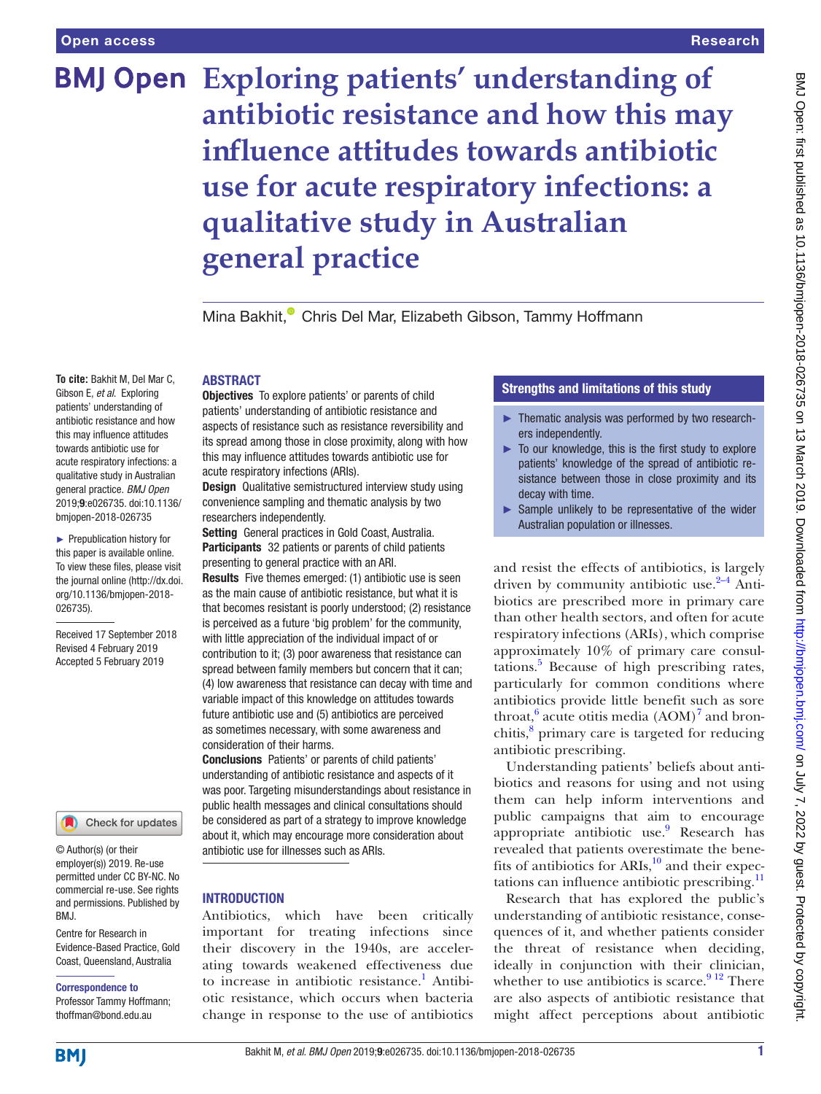**To cite:** Bakhit M, Del Mar C, Gibson E, *et al*. Exploring patients' understanding of antibiotic resistance and how this may influence attitudes towards antibiotic use for acute respiratory infections: a qualitative study in Australian general practice. *BMJ Open* 2019;9:e026735. doi:10.1136/ bmjopen-2018-026735 ► Prepublication history for this paper is available online. To view these files, please visit the journal online [\(http://dx.doi.](http://dx.doi.org/10.1136/bmjopen-2018-026735) [org/10.1136/bmjopen-2018-](http://dx.doi.org/10.1136/bmjopen-2018-026735)

# **Exploring patients' understanding of antibiotic resistance and how this may influence attitudes towards antibiotic use for acute respiratory infections: a qualitative study in Australian general practice**

Mina Bakhit[,](http://orcid.org/0000-0002-6162-3362)<sup>®</sup> Chris Del Mar, Elizabeth Gibson, Tammy Hoffmann

## **ABSTRACT**

**Objectives** To explore patients' or parents of child patients' understanding of antibiotic resistance and aspects of resistance such as resistance reversibility and its spread among those in close proximity, along with how this may influence attitudes towards antibiotic use for acute respiratory infections (ARIs).

**Design** Qualitative semistructured interview study using convenience sampling and thematic analysis by two researchers independently.

Setting General practices in Gold Coast, Australia. Participants 32 patients or parents of child patients presenting to general practice with an ARI.

Results Five themes emerged: (1) antibiotic use is seen as the main cause of antibiotic resistance, but what it is that becomes resistant is poorly understood; (2) resistance is perceived as a future 'big problem' for the community, with little appreciation of the individual impact of or contribution to it; (3) poor awareness that resistance can spread between family members but concern that it can; (4) low awareness that resistance can decay with time and variable impact of this knowledge on attitudes towards future antibiotic use and (5) antibiotics are perceived as sometimes necessary, with some awareness and consideration of their harms.

Conclusions Patients' or parents of child patients' understanding of antibiotic resistance and aspects of it was poor. Targeting misunderstandings about resistance in public health messages and clinical consultations should be considered as part of a strategy to improve knowledge about it, which may encourage more consideration about antibiotic use for illnesses such as ARIs.

#### **INTRODUCTION**

Antibiotics, which have been critically important for treating infections since their discovery in the 1940s, are accelerating towards weakened effectiveness due to increase in antibiotic resistance.<sup>[1](#page-6-0)</sup> Antibiotic resistance, which occurs when bacteria change in response to the use of antibiotics

# Strengths and limitations of this study

- ► Thematic analysis was performed by two researchers independently.
- ► To our knowledge, this is the first study to explore patients' knowledge of the spread of antibiotic resistance between those in close proximity and its decay with time.
- ► Sample unlikely to be representative of the wider Australian population or illnesses.

and resist the effects of antibiotics, is largely driven by community antibiotic use. $2-4$  Antibiotics are prescribed more in primary care than other health sectors, and often for acute respiratory infections (ARIs), which comprise approximately 10% of primary care consultations.<sup>5</sup> Because of high prescribing rates, particularly for common conditions where antibiotics provide little benefit such as sore throat, $6$  acute otitis media  $(AOM)^7$  $(AOM)^7$  and bron-chitis,<sup>[8](#page-6-5)</sup> primary care is targeted for reducing antibiotic prescribing.

Understanding patients' beliefs about antibiotics and reasons for using and not using them can help inform interventions and public campaigns that aim to encourage appropriate antibiotic use.<sup>[9](#page-6-6)</sup> Research has revealed that patients overestimate the benefits of antibiotics for ARIs, $^{10}$  and their expec-tations can influence antibiotic prescribing.<sup>[11](#page-6-8)</sup>

Research that has explored the public's understanding of antibiotic resistance, consequences of it, and whether patients consider the threat of resistance when deciding, ideally in conjunction with their clinician, whether to use antibiotics is scarce.  $9^{12}$  There are also aspects of antibiotic resistance that might affect perceptions about antibiotic

#### employer(s)) 2019. Re-use permitted under CC BY-NC. No commercial re-use. See rights

© Author(s) (or their

[026735\)](http://dx.doi.org/10.1136/bmjopen-2018-026735).

Received 17 September 2018 Revised 4 February 2019 Accepted 5 February 2019

Centre for Research in Evidence-Based Practice, Gold Coast, Queensland, Australia BMJ.

and permissions. Published by

Check for updates

#### Correspondence to

Professor Tammy Hoffmann; thoffman@bond.edu.au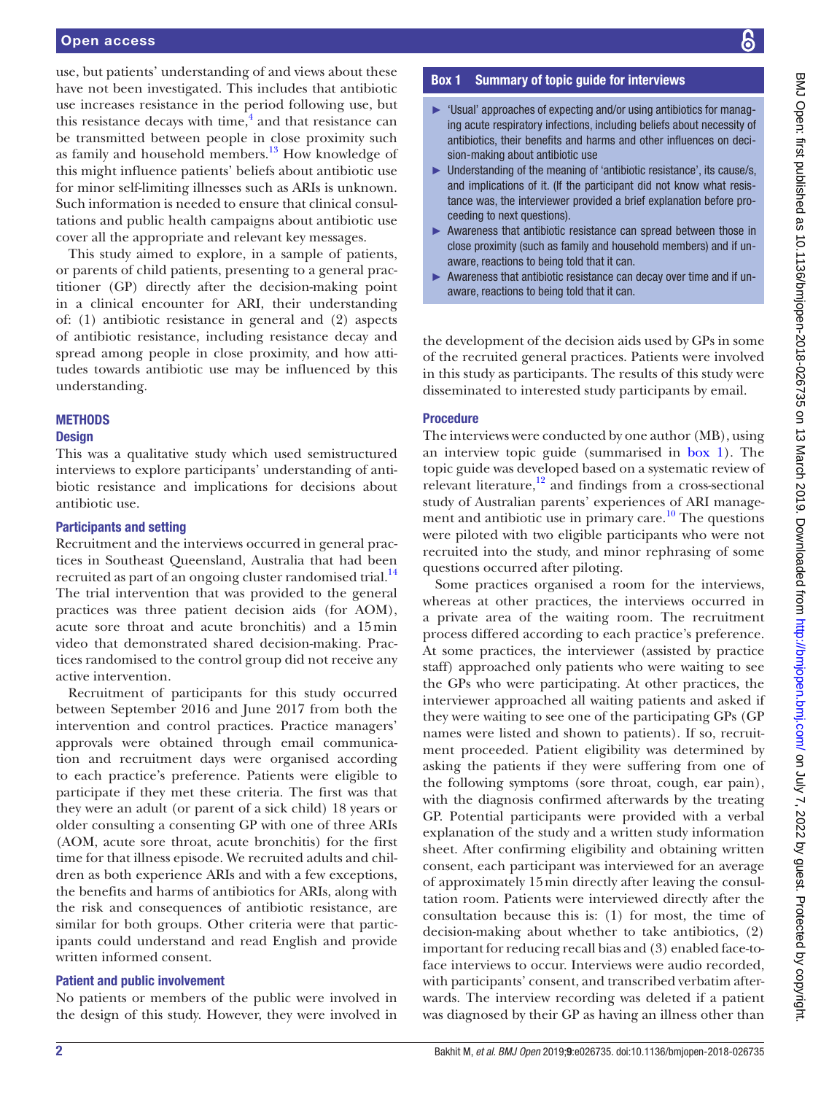use, but patients' understanding of and views about these have not been investigated. This includes that antibiotic use increases resistance in the period following use, but this resistance decays with time, $\frac{4}{3}$  $\frac{4}{3}$  $\frac{4}{3}$  and that resistance can be transmitted between people in close proximity such as family and household members. $13$  How knowledge of this might influence patients' beliefs about antibiotic use for minor self-limiting illnesses such as ARIs is unknown. Such information is needed to ensure that clinical consultations and public health campaigns about antibiotic use cover all the appropriate and relevant key messages.

This study aimed to explore, in a sample of patients, or parents of child patients, presenting to a general practitioner (GP) directly after the decision-making point in a clinical encounter for ARI, their understanding of: (1) antibiotic resistance in general and (2) aspects of antibiotic resistance, including resistance decay and spread among people in close proximity, and how attitudes towards antibiotic use may be influenced by this understanding.

# **METHODS**

#### **Design**

This was a qualitative study which used semistructured interviews to explore participants' understanding of antibiotic resistance and implications for decisions about antibiotic use.

#### Participants and setting

Recruitment and the interviews occurred in general practices in Southeast Queensland, Australia that had been recruited as part of an ongoing cluster randomised trial.<sup>14</sup> The trial intervention that was provided to the general practices was three patient decision aids (for AOM), acute sore throat and acute bronchitis) and a 15min video that demonstrated shared decision-making. Practices randomised to the control group did not receive any active intervention.

Recruitment of participants for this study occurred between September 2016 and June 2017 from both the intervention and control practices. Practice managers' approvals were obtained through email communication and recruitment days were organised according to each practice's preference. Patients were eligible to participate if they met these criteria. The first was that they were an adult (or parent of a sick child) 18 years or older consulting a consenting GP with one of three ARIs (AOM, acute sore throat, acute bronchitis) for the first time for that illness episode. We recruited adults and children as both experience ARIs and with a few exceptions, the benefits and harms of antibiotics for ARIs, along with the risk and consequences of antibiotic resistance, are similar for both groups. Other criteria were that participants could understand and read English and provide written informed consent.

#### Patient and public involvement

No patients or members of the public were involved in the design of this study. However, they were involved in

### Box 1 Summary of topic guide for interviews

- <span id="page-1-0"></span>► 'Usual' approaches of expecting and/or using antibiotics for managing acute respiratory infections, including beliefs about necessity of antibiotics, their benefits and harms and other influences on decision-making about antibiotic use
- ► Understanding of the meaning of 'antibiotic resistance', its cause/s, and implications of it. (If the participant did not know what resistance was, the interviewer provided a brief explanation before proceeding to next questions).
- ► Awareness that antibiotic resistance can spread between those in close proximity (such as family and household members) and if unaware, reactions to being told that it can.
- ► Awareness that antibiotic resistance can decay over time and if unaware, reactions to being told that it can.

the development of the decision aids used by GPs in some of the recruited general practices. Patients were involved in this study as participants. The results of this study were disseminated to interested study participants by email.

#### **Procedure**

The interviews were conducted by one author (MB), using an interview topic guide (summarised in [box](#page-1-0) 1). The topic guide was developed based on a systematic review of relevant literature, $12$  and findings from a cross-sectional study of Australian parents' experiences of ARI management and antibiotic use in primary care. $10$  The questions were piloted with two eligible participants who were not recruited into the study, and minor rephrasing of some questions occurred after piloting.

Some practices organised a room for the interviews, whereas at other practices, the interviews occurred in a private area of the waiting room. The recruitment process differed according to each practice's preference. At some practices, the interviewer (assisted by practice staff) approached only patients who were waiting to see the GPs who were participating. At other practices, the interviewer approached all waiting patients and asked if they were waiting to see one of the participating GPs (GP names were listed and shown to patients). If so, recruitment proceeded. Patient eligibility was determined by asking the patients if they were suffering from one of the following symptoms (sore throat, cough, ear pain), with the diagnosis confirmed afterwards by the treating GP. Potential participants were provided with a verbal explanation of the study and a written study information sheet. After confirming eligibility and obtaining written consent, each participant was interviewed for an average of approximately 15min directly after leaving the consultation room. Patients were interviewed directly after the consultation because this is: (1) for most, the time of decision-making about whether to take antibiotics, (2) important for reducing recall bias and (3) enabled face-toface interviews to occur. Interviews were audio recorded, with participants' consent, and transcribed verbatim afterwards. The interview recording was deleted if a patient was diagnosed by their GP as having an illness other than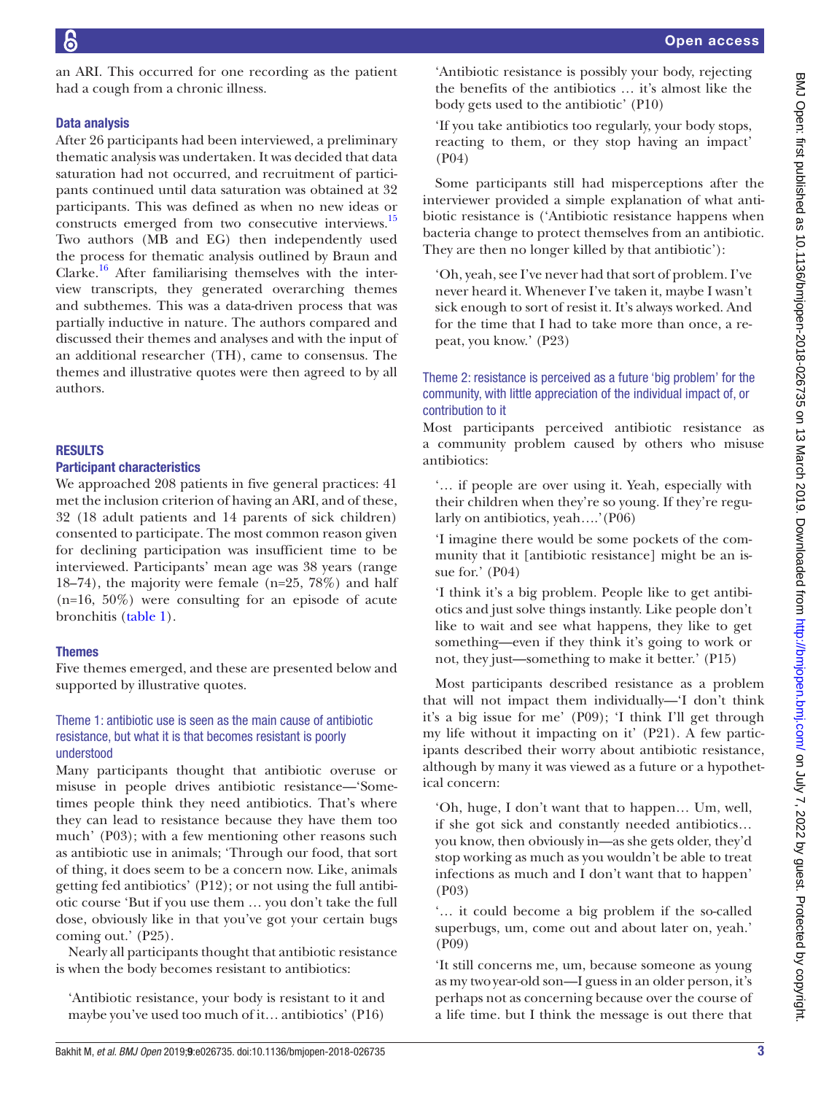an ARI. This occurred for one recording as the patient had a cough from a chronic illness.

# Data analysis

After 26 participants had been interviewed, a preliminary thematic analysis was undertaken. It was decided that data saturation had not occurred, and recruitment of participants continued until data saturation was obtained at 32 participants. This was defined as when no new ideas or constructs emerged from two consecutive interviews.<sup>15</sup> Two authors (MB and EG) then independently used the process for thematic analysis outlined by Braun and Clarke.<sup>16</sup> After familiarising themselves with the interview transcripts, they generated overarching themes and subthemes. This was a data-driven process that was partially inductive in nature. The authors compared and discussed their themes and analyses and with the input of an additional researcher (TH), came to consensus. The themes and illustrative quotes were then agreed to by all authors.

# **RESULTS**

# Participant characteristics

We approached 208 patients in five general practices: 41 met the inclusion criterion of having an ARI, and of these, 32 (18 adult patients and 14 parents of sick children) consented to participate. The most common reason given for declining participation was insufficient time to be interviewed. Participants' mean age was 38 years (range 18–74), the majority were female (n=25, 78%) and half  $(n=16, 50\%)$  were consulting for an episode of acute bronchitis ([table](#page-3-0) 1).

# Themes

Five themes emerged, and these are presented below and supported by illustrative quotes.

# Theme 1: antibiotic use is seen as the main cause of antibiotic resistance, but what it is that becomes resistant is poorly understood

Many participants thought that antibiotic overuse or misuse in people drives antibiotic resistance—'Sometimes people think they need antibiotics. That's where they can lead to resistance because they have them too much' (P03); with a few mentioning other reasons such as antibiotic use in animals; 'Through our food, that sort of thing, it does seem to be a concern now. Like, animals getting fed antibiotics' (P12); or not using the full antibiotic course 'But if you use them … you don't take the full dose, obviously like in that you've got your certain bugs coming out.' (P25).

Nearly all participants thought that antibiotic resistance is when the body becomes resistant to antibiotics:

'Antibiotic resistance, your body is resistant to it and maybe you've used too much of it… antibiotics' (P16) 'Antibiotic resistance is possibly your body, rejecting the benefits of the antibiotics … it's almost like the body gets used to the antibiotic' (P10)

'If you take antibiotics too regularly, your body stops, reacting to them, or they stop having an impact' (P04)

Some participants still had misperceptions after the interviewer provided a simple explanation of what antibiotic resistance is ('Antibiotic resistance happens when bacteria change to protect themselves from an antibiotic. They are then no longer killed by that antibiotic'):

'Oh, yeah, see I've never had that sort of problem. I've never heard it. Whenever I've taken it, maybe I wasn't sick enough to sort of resist it. It's always worked. And for the time that I had to take more than once, a repeat, you know.' (P23)

# Theme 2: resistance is perceived as a future 'big problem' for the community, with little appreciation of the individual impact of, or contribution to it

Most participants perceived antibiotic resistance as a community problem caused by others who misuse antibiotics:

'… if people are over using it. Yeah, especially with their children when they're so young. If they're regularly on antibiotics, yeah….'(P06)

'I imagine there would be some pockets of the community that it [antibiotic resistance] might be an issue for.' (P04)

'I think it's a big problem. People like to get antibiotics and just solve things instantly. Like people don't like to wait and see what happens, they like to get something—even if they think it's going to work or not, they just—something to make it better.' (P15)

Most participants described resistance as a problem that will not impact them individually—'I don't think it's a big issue for me' (P09); 'I think I'll get through my life without it impacting on it' (P21). A few participants described their worry about antibiotic resistance, although by many it was viewed as a future or a hypothetical concern:

'Oh, huge, I don't want that to happen… Um, well, if she got sick and constantly needed antibiotics… you know, then obviously in—as she gets older, they'd stop working as much as you wouldn't be able to treat infections as much and I don't want that to happen' (P03)

'… it could become a big problem if the so-called superbugs, um, come out and about later on, yeah.' (P09)

'It still concerns me, um, because someone as young as my twoyear-old son—I guess in an older person, it's perhaps not as concerning because over the course of a life time. but I think the message is out there that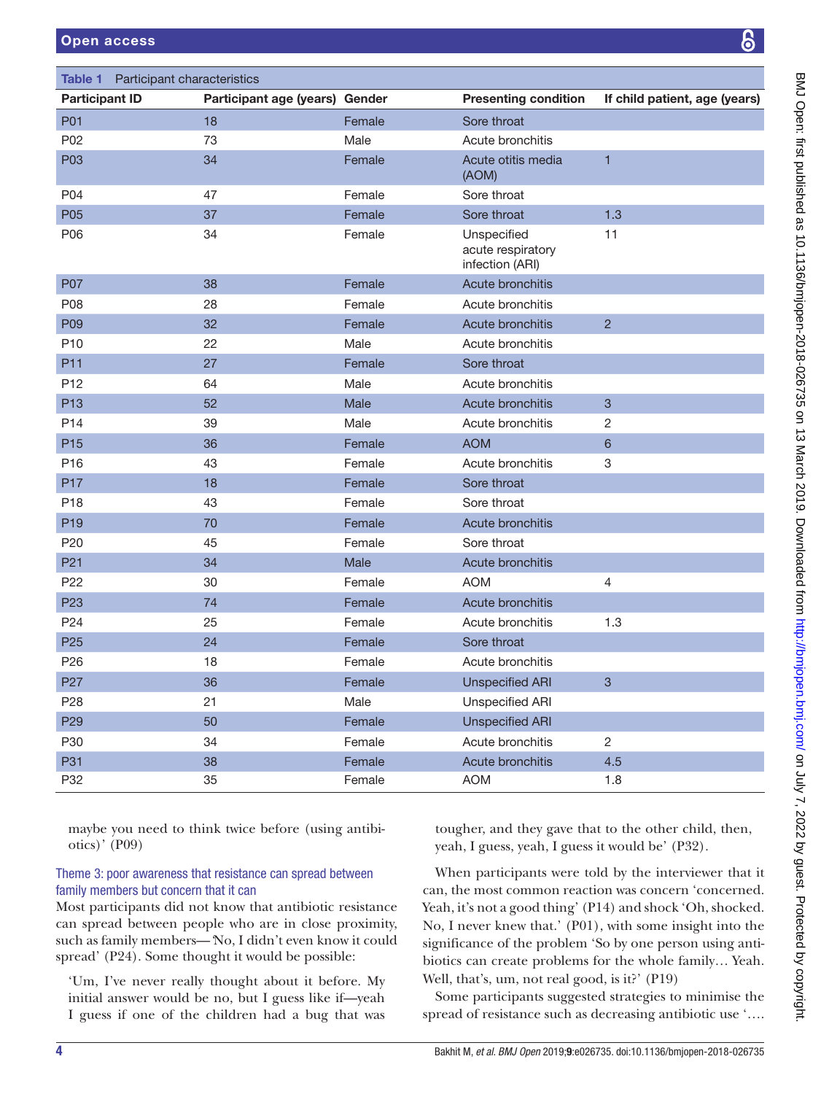# Open access

<span id="page-3-0"></span>

| <b>Table 1</b> Participant characteristics |                                |        |                                                     |                               |
|--------------------------------------------|--------------------------------|--------|-----------------------------------------------------|-------------------------------|
| <b>Participant ID</b>                      | <b>Participant age (years)</b> | Gender | <b>Presenting condition</b>                         | If child patient, age (years) |
| P01                                        | 18                             | Female | Sore throat                                         |                               |
| P02                                        | 73                             | Male   | Acute bronchitis                                    |                               |
| P03                                        | 34                             | Female | Acute otitis media<br>(AOM)                         | $\overline{1}$                |
| P04                                        | 47                             | Female | Sore throat                                         |                               |
| P05                                        | 37                             | Female | Sore throat                                         | 1.3                           |
| P06                                        | 34                             | Female | Unspecified<br>acute respiratory<br>infection (ARI) | 11                            |
| P07                                        | 38                             | Female | Acute bronchitis                                    |                               |
| P08                                        | 28                             | Female | Acute bronchitis                                    |                               |
| P09                                        | 32                             | Female | Acute bronchitis                                    | $\overline{2}$                |
| P <sub>10</sub>                            | 22                             | Male   | Acute bronchitis                                    |                               |
| P11                                        | 27                             | Female | Sore throat                                         |                               |
| P <sub>12</sub>                            | 64                             | Male   | Acute bronchitis                                    |                               |
| P <sub>13</sub>                            | 52                             | Male   | Acute bronchitis                                    | 3                             |
| P14                                        | 39                             | Male   | Acute bronchitis                                    | $\overline{c}$                |
| P <sub>15</sub>                            | 36                             | Female | <b>AOM</b>                                          | $6\phantom{1}$                |
| P <sub>16</sub>                            | 43                             | Female | Acute bronchitis                                    | 3                             |
| P17                                        | 18                             | Female | Sore throat                                         |                               |
| P <sub>18</sub>                            | 43                             | Female | Sore throat                                         |                               |
| P <sub>19</sub>                            | 70                             | Female | <b>Acute bronchitis</b>                             |                               |
| P20                                        | 45                             | Female | Sore throat                                         |                               |
| P <sub>21</sub>                            | 34                             | Male   | <b>Acute bronchitis</b>                             |                               |
| P <sub>22</sub>                            | 30                             | Female | <b>AOM</b>                                          | $\overline{4}$                |
| P <sub>23</sub>                            | 74                             | Female | Acute bronchitis                                    |                               |
| P <sub>24</sub>                            | 25                             | Female | Acute bronchitis                                    | 1.3                           |
| P <sub>25</sub>                            | 24                             | Female | Sore throat                                         |                               |
| P <sub>26</sub>                            | 18                             | Female | Acute bronchitis                                    |                               |
| P <sub>27</sub>                            | 36                             | Female | <b>Unspecified ARI</b>                              | 3                             |
| P <sub>28</sub>                            | 21                             | Male   | <b>Unspecified ARI</b>                              |                               |
| P <sub>29</sub>                            | 50                             | Female | <b>Unspecified ARI</b>                              |                               |
| P30                                        | 34                             | Female | Acute bronchitis                                    | $\overline{2}$                |
| P31                                        | 38                             | Female | Acute bronchitis                                    | 4.5                           |
| P32                                        | 35                             | Female | <b>AOM</b>                                          | 1.8                           |

maybe you need to think twice before (using antibiotics)' (P09)

# Theme 3: poor awareness that resistance can spread between family members but concern that it can

Most participants did not know that antibiotic resistance can spread between people who are in close proximity, such as family members—*'*No, I didn't even know it could spread' (P24). Some thought it would be possible:

'Um, I've never really thought about it before. My initial answer would be no, but I guess like if—yeah I guess if one of the children had a bug that was

tougher, and they gave that to the other child, then, yeah, I guess, yeah, I guess it would be' (P32).

When participants were told by the interviewer that it can, the most common reaction was concern 'concerned. Yeah, it's not a good thing' (P14) and shock 'Oh, shocked. No, I never knew that.' (P01), with some insight into the significance of the problem 'So by one person using antibiotics can create problems for the whole family… Yeah. Well, that's, um, not real good, is it?' (P19)

Some participants suggested strategies to minimise the spread of resistance such as decreasing antibiotic use '….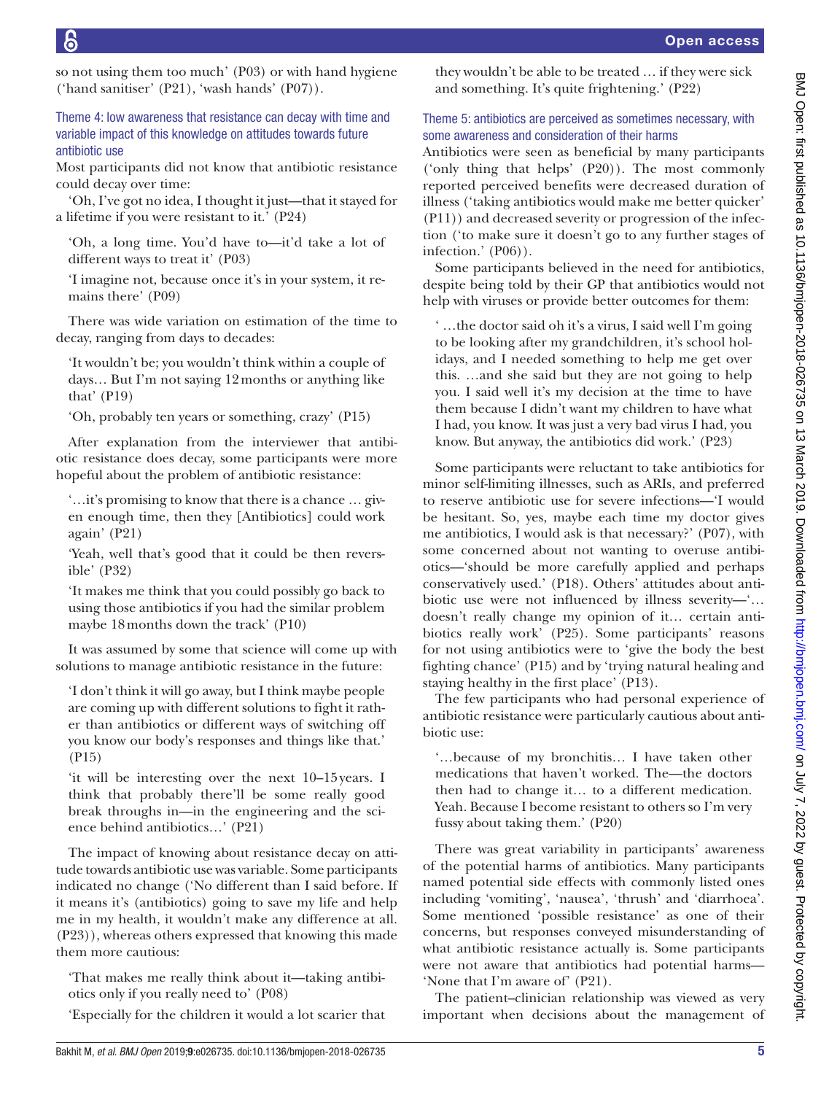so not using them too much' (P03) or with hand hygiene ('hand sanitiser' (P21), 'wash hands' (P07)).

Theme 4: low awareness that resistance can decay with time and variable impact of this knowledge on attitudes towards future antibiotic use

Most participants did not know that antibiotic resistance could decay over time:

'Oh, I've got no idea, I thought it just—that it stayed for a lifetime if you were resistant to it.' (P24)

'Oh, a long time. You'd have to—it'd take a lot of different ways to treat it' (P03)

'I imagine not, because once it's in your system, it remains there' (P09)

There was wide variation on estimation of the time to decay, ranging from days to decades:

'It wouldn't be; you wouldn't think within a couple of days… But I'm not saying 12months or anything like that' (P19)

'Oh, probably ten years or something, crazy' (P15)

After explanation from the interviewer that antibiotic resistance does decay, some participants were more hopeful about the problem of antibiotic resistance:

'…it's promising to know that there is a chance … given enough time, then they [Antibiotics] could work again' (P21)

'Yeah, well that's good that it could be then reversible' (P32)

'It makes me think that you could possibly go back to using those antibiotics if you had the similar problem maybe 18months down the track' (P10)

It was assumed by some that science will come up with solutions to manage antibiotic resistance in the future:

'I don't think it will go away, but I think maybe people are coming up with different solutions to fight it rather than antibiotics or different ways of switching off you know our body's responses and things like that.' (P15)

'it will be interesting over the next 10–15years. I think that probably there'll be some really good break throughs in—in the engineering and the science behind antibiotics…' (P21)

The impact of knowing about resistance decay on attitude towards antibiotic use was variable. Some participants indicated no change ('No different than I said before. If it means it's (antibiotics) going to save my life and help me in my health, it wouldn't make any difference at all. (P23)), whereas others expressed that knowing this made them more cautious:

'That makes me really think about it—taking antibiotics only if you really need to' (P08)

'Especially for the children it would a lot scarier that

they wouldn't be able to be treated … if they were sick and something. It's quite frightening.' (P22)

# Theme 5: antibiotics are perceived as sometimes necessary, with some awareness and consideration of their harms

Antibiotics were seen as beneficial by many participants ('only thing that helps' (P20)). The most commonly reported perceived benefits were decreased duration of illness ('taking antibiotics would make me better quicker' (P11)) and decreased severity or progression of the infection ('to make sure it doesn't go to any further stages of infection.' (P06)).

Some participants believed in the need for antibiotics, despite being told by their GP that antibiotics would not help with viruses or provide better outcomes for them:

' …the doctor said oh it's a virus, I said well I'm going to be looking after my grandchildren, it's school holidays, and I needed something to help me get over this. …and she said but they are not going to help you. I said well it's my decision at the time to have them because I didn't want my children to have what I had, you know. It was just a very bad virus I had, you know. But anyway, the antibiotics did work.' (P23)

Some participants were reluctant to take antibiotics for minor self-limiting illnesses, such as ARIs, and preferred to reserve antibiotic use for severe infections—'I would be hesitant. So, yes, maybe each time my doctor gives me antibiotics, I would ask is that necessary?' (P07), with some concerned about not wanting to overuse antibiotics—'should be more carefully applied and perhaps conservatively used.' (P18). Others' attitudes about antibiotic use were not influenced by illness severity—'… doesn't really change my opinion of it… certain antibiotics really work' (P25). Some participants' reasons for not using antibiotics were to 'give the body the best fighting chance' (P15) and by 'trying natural healing and staying healthy in the first place' (P13).

The few participants who had personal experience of antibiotic resistance were particularly cautious about antibiotic use:

'…because of my bronchitis… I have taken other medications that haven't worked. The—the doctors then had to change it… to a different medication. Yeah. Because I become resistant to others so I'm very fussy about taking them.' (P20)

There was great variability in participants' awareness of the potential harms of antibiotics. Many participants named potential side effects with commonly listed ones including 'vomiting', 'nausea', 'thrush' and 'diarrhoea'. Some mentioned 'possible resistance' as one of their concerns, but responses conveyed misunderstanding of what antibiotic resistance actually is. Some participants were not aware that antibiotics had potential harms— 'None that I'm aware of' (P21).

The patient–clinician relationship was viewed as very important when decisions about the management of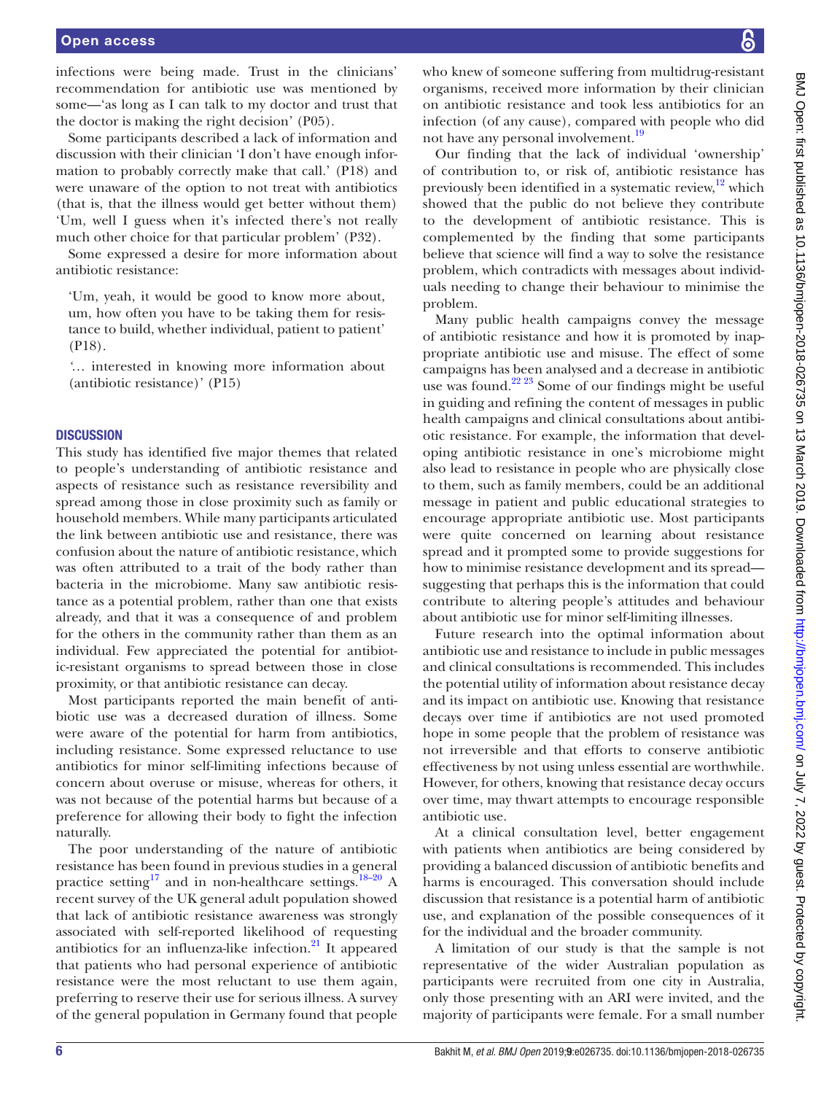infections were being made. Trust in the clinicians' recommendation for antibiotic use was mentioned by some—'as long as I can talk to my doctor and trust that the doctor is making the right decision' (P05).

Some participants described a lack of information and discussion with their clinician 'I don't have enough information to probably correctly make that call.' (P18) and were unaware of the option to not treat with antibiotics (that is, that the illness would get better without them) 'Um, well I guess when it's infected there's not really much other choice for that particular problem' (P32).

Some expressed a desire for more information about antibiotic resistance:

'Um, yeah, it would be good to know more about, um, how often you have to be taking them for resistance to build, whether individual, patient to patient' (P18).

*'*… interested in knowing more information about (antibiotic resistance)' (P15)

### **DISCUSSION**

This study has identified five major themes that related to people's understanding of antibiotic resistance and aspects of resistance such as resistance reversibility and spread among those in close proximity such as family or household members. While many participants articulated the link between antibiotic use and resistance, there was confusion about the nature of antibiotic resistance, which was often attributed to a trait of the body rather than bacteria in the microbiome. Many saw antibiotic resistance as a potential problem, rather than one that exists already, and that it was a consequence of and problem for the others in the community rather than them as an individual. Few appreciated the potential for antibiotic-resistant organisms to spread between those in close proximity, or that antibiotic resistance can decay.

Most participants reported the main benefit of antibiotic use was a decreased duration of illness. Some were aware of the potential for harm from antibiotics, including resistance. Some expressed reluctance to use antibiotics for minor self-limiting infections because of concern about overuse or misuse, whereas for others, it was not because of the potential harms but because of a preference for allowing their body to fight the infection naturally.

The poor understanding of the nature of antibiotic resistance has been found in previous studies in a general practice setting<sup>17</sup> and in non-healthcare settings.<sup>18-20</sup> A recent survey of the UK general adult population showed that lack of antibiotic resistance awareness was strongly associated with self-reported likelihood of requesting antibiotics for an influenza-like infection. $^{21}$  It appeared that patients who had personal experience of antibiotic resistance were the most reluctant to use them again, preferring to reserve their use for serious illness. A survey of the general population in Germany found that people

who knew of someone suffering from multidrug-resistant organisms, received more information by their clinician on antibiotic resistance and took less antibiotics for an infection (of any cause), compared with people who did not have any personal involvement.[19](#page-6-18)

Our finding that the lack of individual 'ownership' of contribution to, or risk of, antibiotic resistance has previously been identified in a systematic review, $12$  which showed that the public do not believe they contribute to the development of antibiotic resistance. This is complemented by the finding that some participants believe that science will find a way to solve the resistance problem, which contradicts with messages about individuals needing to change their behaviour to minimise the problem.

Many public health campaigns convey the message of antibiotic resistance and how it is promoted by inappropriate antibiotic use and misuse. The effect of some campaigns has been analysed and a decrease in antibiotic use was found.<sup>22 23</sup> Some of our findings might be useful in guiding and refining the content of messages in public health campaigns and clinical consultations about antibiotic resistance. For example, the information that developing antibiotic resistance in one's microbiome might also lead to resistance in people who are physically close to them, such as family members, could be an additional message in patient and public educational strategies to encourage appropriate antibiotic use. Most participants were quite concerned on learning about resistance spread and it prompted some to provide suggestions for how to minimise resistance development and its spread suggesting that perhaps this is the information that could contribute to altering people's attitudes and behaviour about antibiotic use for minor self-limiting illnesses.

Future research into the optimal information about antibiotic use and resistance to include in public messages and clinical consultations is recommended. This includes the potential utility of information about resistance decay and its impact on antibiotic use. Knowing that resistance decays over time if antibiotics are not used promoted hope in some people that the problem of resistance was not irreversible and that efforts to conserve antibiotic effectiveness by not using unless essential are worthwhile. However, for others, knowing that resistance decay occurs over time, may thwart attempts to encourage responsible antibiotic use.

At a clinical consultation level, better engagement with patients when antibiotics are being considered by providing a balanced discussion of antibiotic benefits and harms is encouraged. This conversation should include discussion that resistance is a potential harm of antibiotic use, and explanation of the possible consequences of it for the individual and the broader community.

A limitation of our study is that the sample is not representative of the wider Australian population as participants were recruited from one city in Australia, only those presenting with an ARI were invited, and the majority of participants were female. For a small number